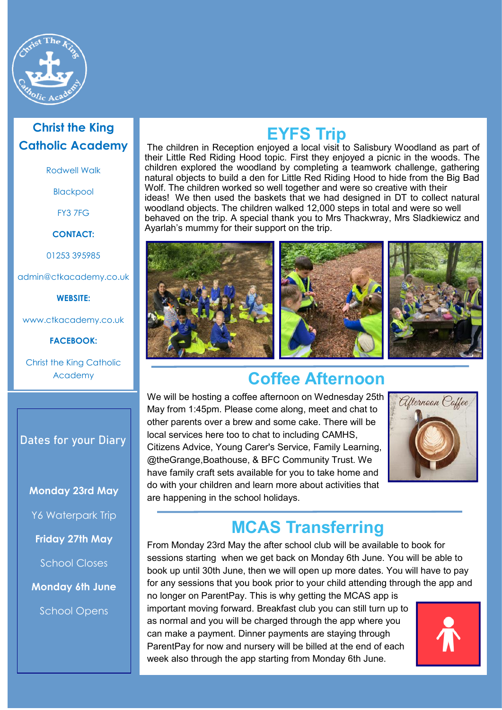

#### **Christ the King Catholic Academy**

Rodwell Walk

Blackpool

FY3 7FG

**CONTACT:**

01253 395985

admin@ctkacademy.co.uk

**WEBSITE:**

www.ctkacademy.co.uk

**FACEBOOK:**

Christ the King Catholic Academy

#### **Dates for your Diary**

**Monday 23rd May**

Y6 Waterpark Trip

**Friday 27th May**

School Closes

**Monday 6th June**

School Opens

# **EYFS Trip**

The children in Reception enjoyed a local visit to Salisbury Woodland as part of their Little Red Riding Hood topic. First they enjoyed a picnic in the woods. The children explored the woodland by completing a teamwork challenge, gathering natural objects to build a den for Little Red Riding Hood to hide from the Big Bad Wolf. The children worked so well together and were so creative with their ideas! We then used the baskets that we had designed in DT to collect natural woodland objects. The children walked 12,000 steps in total and were so well behaved on the trip. A special thank you to Mrs Thackwray, Mrs Sladkiewicz and Ayarlah's mummy for their support on the trip.



# **Coffee Afternoon**

We will be hosting a coffee afternoon on Wednesday 25th May from 1:45pm. Please come along, meet and chat to other parents over a brew and some cake. There will be local services here too to chat to including CAMHS, Citizens Advice, Young Carer's Service, Family Learning, @theGrange,Boathouse, & BFC Community Trust. We have family craft sets available for you to take home and do with your children and learn more about activities that are happening in the school holidays.



# **MCAS Transferring**

From Monday 23rd May the after school club will be available to book for sessions starting when we get back on Monday 6th June. You will be able to book up until 30th June, then we will open up more dates. You will have to pay for any sessions that you book prior to your child attending through the app and

no longer on ParentPay. This is why getting the MCAS app is important moving forward. Breakfast club you can still turn up to as normal and you will be charged through the app where you can make a payment. Dinner payments are staying through ParentPay for now and nursery will be billed at the end of each week also through the app starting from Monday 6th June.

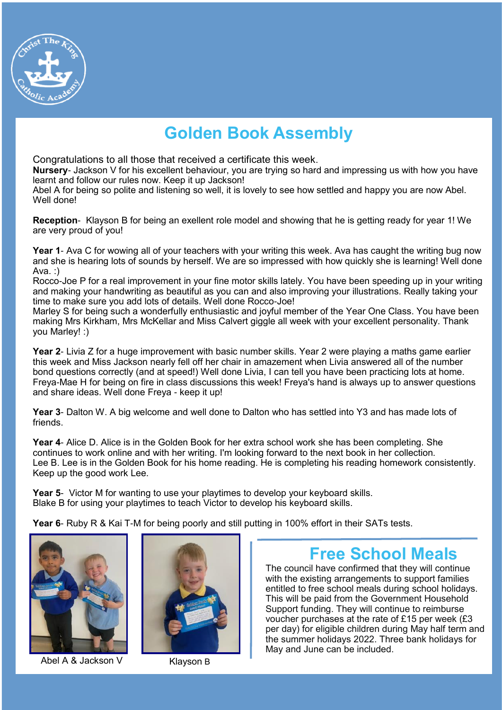

# **Golden Book Assembly**

Congratulations to all those that received a certificate this week.

**Nursery**- Jackson V for his excellent behaviour, you are trying so hard and impressing us with how you have learnt and follow our rules now. Keep it up Jackson!

Abel A for being so polite and listening so well, it is lovely to see how settled and happy you are now Abel. Well done!

**Reception**- Klayson B for being an exellent role model and showing that he is getting ready for year 1! We are very proud of you!

**Year 1**- Ava C for wowing all of your teachers with your writing this week. Ava has caught the writing bug now and she is hearing lots of sounds by herself. We are so impressed with how quickly she is learning! Well done Ava. :)

Rocco-Joe P for a real improvement in your fine motor skills lately. You have been speeding up in your writing and making your handwriting as beautiful as you can and also improving your illustrations. Really taking your time to make sure you add lots of details. Well done Rocco-Joe!

Marley S for being such a wonderfully enthusiastic and joyful member of the Year One Class. You have been making Mrs Kirkham, Mrs McKellar and Miss Calvert giggle all week with your excellent personality. Thank you Marley! :)

**Year 2**- Livia Z for a huge improvement with basic number skills. Year 2 were playing a maths game earlier this week and Miss Jackson nearly fell off her chair in amazement when Livia answered all of the number bond questions correctly (and at speed!) Well done Livia, I can tell you have been practicing lots at home. Freya-Mae H for being on fire in class discussions this week! Freya's hand is always up to answer questions and share ideas. Well done Freya - keep it up!

**Year 3**- Dalton W. A big welcome and well done to Dalton who has settled into Y3 and has made lots of friends.

**Year 4**- Alice D. Alice is in the Golden Book for her extra school work she has been completing. She continues to work online and with her writing. I'm looking forward to the next book in her collection. Lee B. Lee is in the Golden Book for his home reading. He is completing his reading homework consistently. Keep up the good work Lee.

**Year 5**- Victor M for wanting to use your playtimes to develop your keyboard skills. Blake B for using your playtimes to teach Victor to develop his keyboard skills.

**Year 6**- Ruby R & Kai T-M for being poorly and still putting in 100% effort in their SATs tests.



Abel A & Jackson V Klayson B



# **Free School Meals**

The council have confirmed that they will continue with the existing arrangements to support families entitled to free school meals during school holidays. This will be paid from the Government Household Support funding. They will continue to reimburse voucher purchases at the rate of £15 per week (£3 per day) for eligible children during May half term and the summer holidays 2022. Three bank holidays for May and June can be included.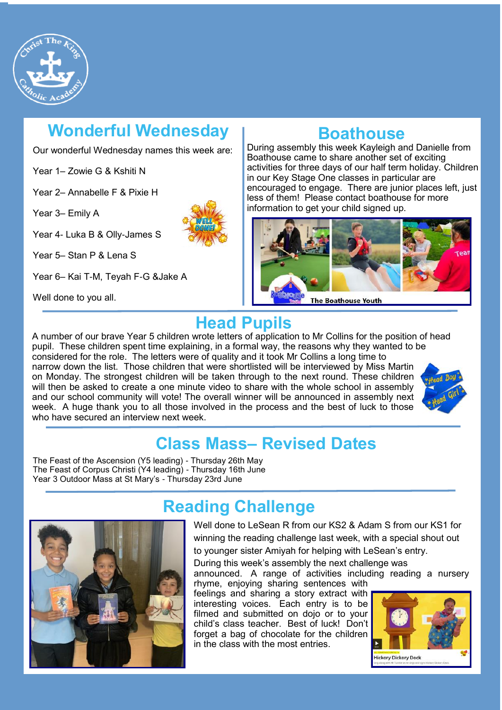

# **Wonderful Wednesday**

Our wonderful Wednesday names this week are:

Year 1– Zowie G & Kshiti N

Year 2– Annabelle F & Pixie H

Year 3– Emily A

Year 4- Luka B & Olly-James S

Year 5– Stan P & Lena S

Year 6– Kai T-M, Teyah F-G &Jake A

Well done to you all.

### **Boathouse**

During assembly this week Kayleigh and Danielle from Boathouse came to share another set of exciting activities for three days of our half term holiday. Children in our Key Stage One classes in particular are encouraged to engage. There are junior places left, just less of them! Please contact boathouse for more information to get your child signed up.



# **Head Pupils**

week. A huge thank you to all those involved in the process and the best of luck to those<br>who have secured an interview next week A number of our brave Year 5 children wrote letters of application to Mr Collins for the position of head pupil. These children spent time explaining, in a formal way, the reasons why they wanted to be considered for the role. The letters were of quality and it took Mr Collins a long time to narrow down the list. Those children that were shortlisted will be interviewed by Miss Martin on Monday. The strongest children will be taken through to the next round. These children will then be asked to create a one minute video to share with the whole school in assembly and our school community will vote! The overall winner will be announced in assembly next who have secured an interview next week



# **Class Mass– Revised Dates**

The Feast of the Ascension (Y5 leading) - Thursday 26th May The Feast of Corpus Christi (Y4 leading) - Thursday 16th June Year 3 Outdoor Mass at St Mary's - Thursday 23rd June



# **Reading Challenge**

Well done to LeSean R from our KS2 & Adam S from our KS1 for winning the reading challenge last week, with a special shout out to younger sister Amiyah for helping with LeSean's entry.

During this week's assembly the next challenge was announced. A range of activities including reading a nursery

rhyme, enjoying sharing sentences with feelings and sharing a story extract with interesting voices. Each entry is to be filmed and submitted on dojo or to your child's class teacher. Best of luck! Don't forget a bag of chocolate for the children in the class with the most entries.